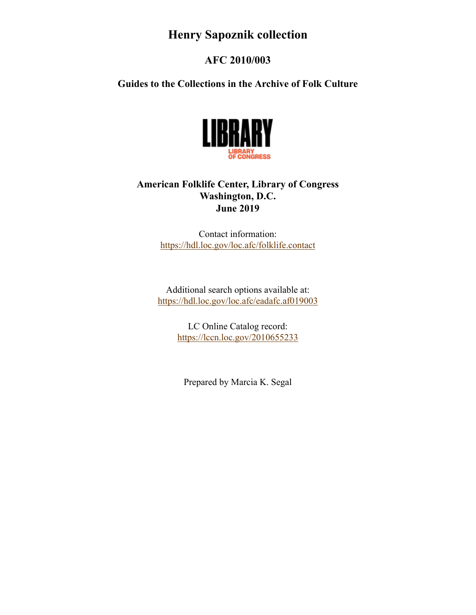## **Henry Sapoznik collection**

## **AFC 2010/003**

**Guides to the Collections in the Archive of Folk Culture**



## **American Folklife Center, Library of Congress Washington, D.C. June 2019**

Contact information: <https://hdl.loc.gov/loc.afc/folklife.contact>

Additional search options available at: <https://hdl.loc.gov/loc.afc/eadafc.af019003>

> LC Online Catalog record: <https://lccn.loc.gov/2010655233>

Prepared by Marcia K. Segal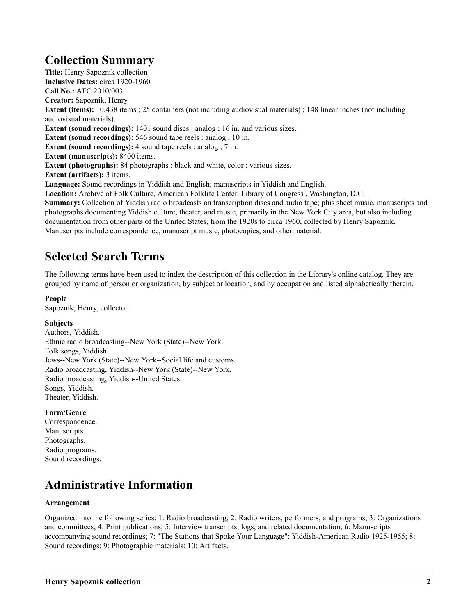## **Collection Summary**

**Title:** Henry Sapoznik collection **Inclusive Dates:** circa 1920-1960 **Call No.:** AFC 2010/003 **Creator:** Sapoznik, Henry **Extent (items):** 10,438 items ; 25 containers (not including audiovisual materials) ; 148 linear inches (not including audiovisual materials). **Extent (sound recordings):** 1401 sound discs : analog ; 16 in. and various sizes. **Extent (sound recordings):** 546 sound tape reels : analog ; 10 in. **Extent (sound recordings):** 4 sound tape reels : analog ; 7 in. **Extent (manuscripts):** 8400 items. **Extent (photographs):** 84 photographs : black and white, color ; various sizes. **Extent (artifacts):** 3 items. **Language:** Sound recordings in Yiddish and English; manuscripts in Yiddish and English. **Location:** Archive of Folk Culture, American Folklife Center, Library of Congress , Washington, D.C. **Summary:** Collection of Yiddish radio broadcasts on transcription discs and audio tape; plus sheet music, manuscripts and photographs documenting Yiddish culture, theater, and music, primarily in the New York City area, but also including documentation from other parts of the United States, from the 1920s to circa 1960, collected by Henry Sapoznik. Manuscripts include correspondence, manuscript music, photocopies, and other material.

## **Selected Search Terms**

The following terms have been used to index the description of this collection in the Library's online catalog. They are grouped by name of person or organization, by subject or location, and by occupation and listed alphabetically therein.

#### **People**

Sapoznik, Henry, collector.

#### **Subjects**

Authors, Yiddish. Ethnic radio broadcasting--New York (State)--New York. Folk songs, Yiddish. Jews--New York (State)--New York--Social life and customs. Radio broadcasting, Yiddish--New York (State)--New York. Radio broadcasting, Yiddish--United States. Songs, Yiddish. Theater, Yiddish.

#### **Form/Genre**

Correspondence. Manuscripts. Photographs. Radio programs. Sound recordings.

## **Administrative Information**

#### **Arrangement**

Organized into the following series: 1: Radio broadcasting; 2: Radio writers, performers, and programs; 3: Organizations and committees; 4: Print publications; 5: Interview transcripts, logs, and related documentation; 6: Manuscripts accompanying sound recordings; 7: "The Stations that Spoke Your Language": Yiddish-American Radio 1925-1955; 8: Sound recordings; 9: Photographic materials; 10: Artifacts.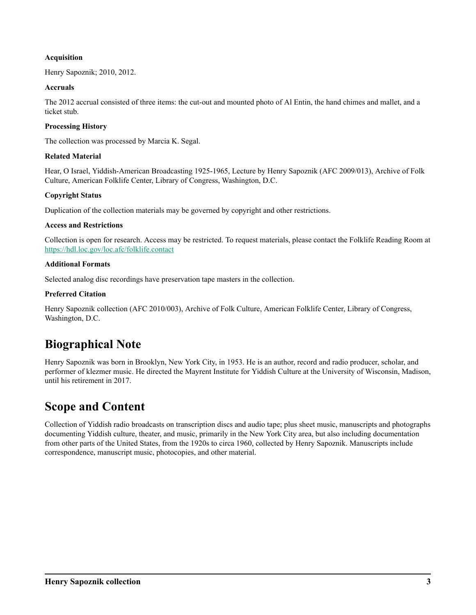#### **Acquisition**

Henry Sapoznik; 2010, 2012.

#### **Accruals**

The 2012 accrual consisted of three items: the cut-out and mounted photo of Al Entin, the hand chimes and mallet, and a ticket stub.

#### **Processing History**

The collection was processed by Marcia K. Segal.

#### **Related Material**

Hear, O Israel, Yiddish-American Broadcasting 1925-1965, Lecture by Henry Sapoznik (AFC 2009/013), Archive of Folk Culture, American Folklife Center, Library of Congress, Washington, D.C.

### **Copyright Status**

Duplication of the collection materials may be governed by copyright and other restrictions.

#### **Access and Restrictions**

Collection is open for research. Access may be restricted. To request materials, please contact the Folklife Reading Room at <https://hdl.loc.gov/loc.afc/folklife.contact>

#### **Additional Formats**

Selected analog disc recordings have preservation tape masters in the collection.

#### **Preferred Citation**

Henry Sapoznik collection (AFC 2010/003), Archive of Folk Culture, American Folklife Center, Library of Congress, Washington, D.C.

## **Biographical Note**

Henry Sapoznik was born in Brooklyn, New York City, in 1953. He is an author, record and radio producer, scholar, and performer of klezmer music. He directed the Mayrent Institute for Yiddish Culture at the University of Wisconsin, Madison, until his retirement in 2017.

## **Scope and Content**

Collection of Yiddish radio broadcasts on transcription discs and audio tape; plus sheet music, manuscripts and photographs documenting Yiddish culture, theater, and music, primarily in the New York City area, but also including documentation from other parts of the United States, from the 1920s to circa 1960, collected by Henry Sapoznik. Manuscripts include correspondence, manuscript music, photocopies, and other material.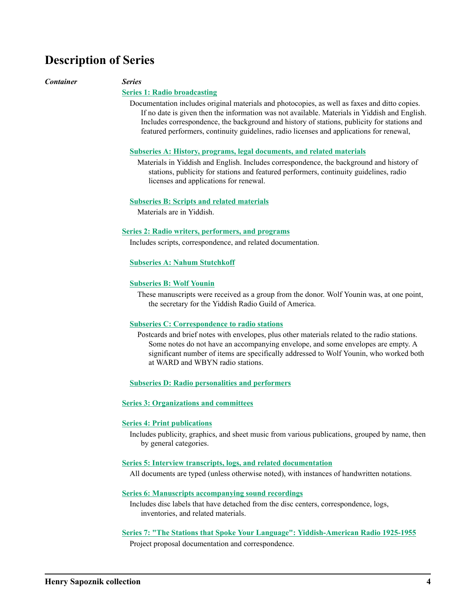## **Description of Series**

#### *Container Series*

#### **[Series 1: Radio broadcasting](#page-5-0)**

Documentation includes original materials and photocopies, as well as faxes and ditto copies. If no date is given then the information was not available. Materials in Yiddish and English. Includes correspondence, the background and history of stations, publicity for stations and featured performers, continuity guidelines, radio licenses and applications for renewal,

#### **[Subseries A: History, programs, legal documents, and related materials](#page-5-0)**

Materials in Yiddish and English. Includes correspondence, the background and history of stations, publicity for stations and featured performers, continuity guidelines, radio licenses and applications for renewal.

#### **[Subseries B: Scripts and related materials](#page-7-0)**

Materials are in Yiddish.

#### **[Series 2: Radio writers, performers, and programs](#page-7-0)**

Includes scripts, correspondence, and related documentation.

#### **[Subseries A: Nahum Stutchkoff](#page-7-0)**

#### **[Subseries B: Wolf Younin](#page-8-0)**

These manuscripts were received as a group from the donor. Wolf Younin was, at one point, the secretary for the Yiddish Radio Guild of America.

#### **[Subseries C: Correspondence to radio stations](#page-8-0)**

Postcards and brief notes with envelopes, plus other materials related to the radio stations. Some notes do not have an accompanying envelope, and some envelopes are empty. A significant number of items are specifically addressed to Wolf Younin, who worked both at WARD and WBYN radio stations.

#### **[Subseries D: Radio personalities and performers](#page-9-0)**

#### **[Series 3: Organizations and committees](#page-11-0)**

#### **[Series 4: Print publications](#page-11-0)**

Includes publicity, graphics, and sheet music from various publications, grouped by name, then by general categories.

#### **[Series 5: Interview transcripts, logs, and related documentation](#page-13-0)**

All documents are typed (unless otherwise noted), with instances of handwritten notations.

#### **[Series 6: Manuscripts accompanying sound recordings](#page-14-0)**

Includes disc labels that have detached from the disc centers, correspondence, logs, inventories, and related materials.

#### **[Series 7: "The Stations that Spoke Your Language": Yiddish-American Radio 1925-1955](#page-15-0)**

Project proposal documentation and correspondence.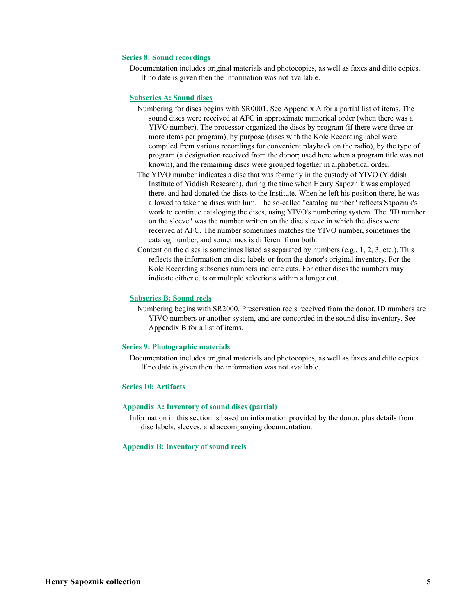#### **[Series 8: Sound recordings](#page-15-0)**

Documentation includes original materials and photocopies, as well as faxes and ditto copies. If no date is given then the information was not available.

#### **[Subseries A: Sound discs](#page-16-0)**

- Numbering for discs begins with SR0001. See Appendix A for a partial list of items. The sound discs were received at AFC in approximate numerical order (when there was a YIVO number). The processor organized the discs by program (if there were three or more items per program), by purpose (discs with the Kole Recording label were compiled from various recordings for convenient playback on the radio), by the type of program (a designation received from the donor; used here when a program title was not known), and the remaining discs were grouped together in alphabetical order.
- The YIVO number indicates a disc that was formerly in the custody of YIVO (Yiddish Institute of Yiddish Research), during the time when Henry Sapoznik was employed there, and had donated the discs to the Institute. When he left his position there, he was allowed to take the discs with him. The so-called "catalog number" reflects Sapoznik's work to continue cataloging the discs, using YIVO's numbering system. The "ID number on the sleeve" was the number written on the disc sleeve in which the discs were received at AFC. The number sometimes matches the YIVO number, sometimes the catalog number, and sometimes is different from both.
- Content on the discs is sometimes listed as separated by numbers (e.g., 1, 2, 3, etc.). This reflects the information on disc labels or from the donor's original inventory. For the Kole Recording subseries numbers indicate cuts. For other discs the numbers may indicate either cuts or multiple selections within a longer cut.

#### **[Subseries B: Sound reels](#page-17-0)**

Numbering begins with SR2000. Preservation reels received from the donor. ID numbers are YIVO numbers or another system, and are concorded in the sound disc inventory. See Appendix B for a list of items.

#### **[Series 9: Photographic materials](#page-17-0)**

Documentation includes original materials and photocopies, as well as faxes and ditto copies. If no date is given then the information was not available.

#### **[Series 10: Artifacts](#page-19-0)**

#### **[Appendix A:](#page-19-0) [Inventory of sound discs \(partial\)](https://hdl.loc.gov/loc.afc/af019003.apx1)**

Information in this section is based on information provided by the donor, plus details from disc labels, sleeves, and accompanying documentation.

#### **[Appendix B: I](#page-19-0)[nventory of sound reels](https://hdl.loc.gov/loc.afc/af019003.apx2)**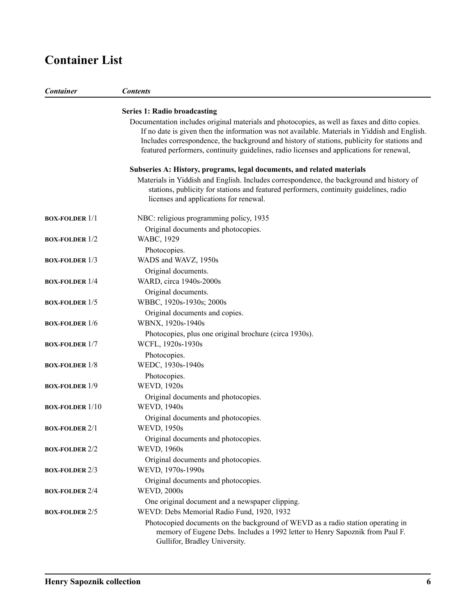# <span id="page-5-0"></span>**Container List**

| <b>Container</b>       | <b>Contents</b>                                                                                                                                                                                                                                                                                                                                                                           |
|------------------------|-------------------------------------------------------------------------------------------------------------------------------------------------------------------------------------------------------------------------------------------------------------------------------------------------------------------------------------------------------------------------------------------|
|                        | <b>Series 1: Radio broadcasting</b>                                                                                                                                                                                                                                                                                                                                                       |
|                        | Documentation includes original materials and photocopies, as well as faxes and ditto copies.<br>If no date is given then the information was not available. Materials in Yiddish and English.<br>Includes correspondence, the background and history of stations, publicity for stations and<br>featured performers, continuity guidelines, radio licenses and applications for renewal, |
|                        | Subseries A: History, programs, legal documents, and related materials                                                                                                                                                                                                                                                                                                                    |
|                        | Materials in Yiddish and English. Includes correspondence, the background and history of<br>stations, publicity for stations and featured performers, continuity guidelines, radio<br>licenses and applications for renewal.                                                                                                                                                              |
| <b>BOX-FOLDER 1/1</b>  | NBC: religious programming policy, 1935                                                                                                                                                                                                                                                                                                                                                   |
| <b>BOX-FOLDER 1/2</b>  | Original documents and photocopies.<br>WABC, 1929                                                                                                                                                                                                                                                                                                                                         |
| <b>BOX-FOLDER 1/3</b>  | Photocopies.<br>WADS and WAVZ, 1950s                                                                                                                                                                                                                                                                                                                                                      |
|                        | Original documents.                                                                                                                                                                                                                                                                                                                                                                       |
| <b>BOX-FOLDER 1/4</b>  | WARD, circa 1940s-2000s                                                                                                                                                                                                                                                                                                                                                                   |
| <b>BOX-FOLDER 1/5</b>  | Original documents.<br>WBBC, 1920s-1930s; 2000s                                                                                                                                                                                                                                                                                                                                           |
| <b>BOX-FOLDER 1/6</b>  | Original documents and copies.<br>WBNX, 1920s-1940s                                                                                                                                                                                                                                                                                                                                       |
| <b>BOX-FOLDER 1/7</b>  | Photocopies, plus one original brochure (circa 1930s).<br>WCFL, 1920s-1930s                                                                                                                                                                                                                                                                                                               |
| <b>BOX-FOLDER 1/8</b>  | Photocopies.<br>WEDC, 1930s-1940s                                                                                                                                                                                                                                                                                                                                                         |
| <b>BOX-FOLDER 1/9</b>  | Photocopies.<br><b>WEVD, 1920s</b>                                                                                                                                                                                                                                                                                                                                                        |
| <b>BOX-FOLDER 1/10</b> | Original documents and photocopies.<br><b>WEVD, 1940s</b>                                                                                                                                                                                                                                                                                                                                 |
| <b>BOX-FOLDER 2/1</b>  | Original documents and photocopies.<br><b>WEVD, 1950s</b>                                                                                                                                                                                                                                                                                                                                 |
| <b>BOX-FOLDER 2/2</b>  | Original documents and photocopies.<br><b>WEVD, 1960s</b>                                                                                                                                                                                                                                                                                                                                 |
| <b>BOX-FOLDER 2/3</b>  | Original documents and photocopies.<br>WEVD, 1970s-1990s                                                                                                                                                                                                                                                                                                                                  |
| <b>BOX-FOLDER 2/4</b>  | Original documents and photocopies.<br><b>WEVD, 2000s</b>                                                                                                                                                                                                                                                                                                                                 |
| <b>BOX-FOLDER 2/5</b>  | One original document and a newspaper clipping.<br>WEVD: Debs Memorial Radio Fund, 1920, 1932                                                                                                                                                                                                                                                                                             |
|                        | Photocopied documents on the background of WEVD as a radio station operating in<br>memory of Eugene Debs. Includes a 1992 letter to Henry Sapoznik from Paul F.<br>Gullifor, Bradley University.                                                                                                                                                                                          |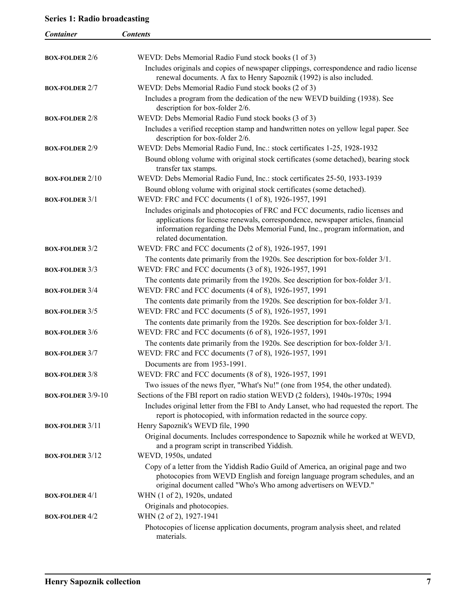## **Series 1: Radio broadcasting**

| Container              | <b>Contents</b>                                                                                                                                                                                                                                                               |
|------------------------|-------------------------------------------------------------------------------------------------------------------------------------------------------------------------------------------------------------------------------------------------------------------------------|
|                        |                                                                                                                                                                                                                                                                               |
| <b>BOX-FOLDER 2/6</b>  | WEVD: Debs Memorial Radio Fund stock books (1 of 3)                                                                                                                                                                                                                           |
|                        | Includes originals and copies of newspaper clippings, correspondence and radio license<br>renewal documents. A fax to Henry Sapoznik (1992) is also included.                                                                                                                 |
| <b>BOX-FOLDER 2/7</b>  | WEVD: Debs Memorial Radio Fund stock books (2 of 3)                                                                                                                                                                                                                           |
|                        | Includes a program from the dedication of the new WEVD building (1938). See                                                                                                                                                                                                   |
|                        | description for box-folder 2/6.                                                                                                                                                                                                                                               |
| <b>BOX-FOLDER 2/8</b>  | WEVD: Debs Memorial Radio Fund stock books (3 of 3)                                                                                                                                                                                                                           |
|                        | Includes a verified reception stamp and handwritten notes on yellow legal paper. See<br>description for box-folder 2/6.                                                                                                                                                       |
| <b>BOX-FOLDER 2/9</b>  | WEVD: Debs Memorial Radio Fund, Inc.: stock certificates 1-25, 1928-1932                                                                                                                                                                                                      |
|                        | Bound oblong volume with original stock certificates (some detached), bearing stock<br>transfer tax stamps.                                                                                                                                                                   |
| <b>BOX-FOLDER 2/10</b> | WEVD: Debs Memorial Radio Fund, Inc.: stock certificates 25-50, 1933-1939                                                                                                                                                                                                     |
|                        | Bound oblong volume with original stock certificates (some detached).                                                                                                                                                                                                         |
| <b>BOX-FOLDER 3/1</b>  | WEVD: FRC and FCC documents (1 of 8), 1926-1957, 1991                                                                                                                                                                                                                         |
|                        | Includes originals and photocopies of FRC and FCC documents, radio licenses and<br>applications for license renewals, correspondence, newspaper articles, financial<br>information regarding the Debs Memorial Fund, Inc., program information, and<br>related documentation. |
| <b>BOX-FOLDER 3/2</b>  | WEVD: FRC and FCC documents (2 of 8), 1926-1957, 1991                                                                                                                                                                                                                         |
|                        | The contents date primarily from the 1920s. See description for box-folder 3/1.                                                                                                                                                                                               |
| <b>BOX-FOLDER 3/3</b>  | WEVD: FRC and FCC documents (3 of 8), 1926-1957, 1991                                                                                                                                                                                                                         |
|                        | The contents date primarily from the 1920s. See description for box-folder 3/1.                                                                                                                                                                                               |
| <b>BOX-FOLDER 3/4</b>  | WEVD: FRC and FCC documents (4 of 8), 1926-1957, 1991                                                                                                                                                                                                                         |
| <b>BOX-FOLDER 3/5</b>  | The contents date primarily from the 1920s. See description for box-folder 3/1.<br>WEVD: FRC and FCC documents (5 of 8), 1926-1957, 1991                                                                                                                                      |
|                        | The contents date primarily from the 1920s. See description for box-folder 3/1.                                                                                                                                                                                               |
| <b>BOX-FOLDER 3/6</b>  | WEVD: FRC and FCC documents (6 of 8), 1926-1957, 1991                                                                                                                                                                                                                         |
|                        | The contents date primarily from the 1920s. See description for box-folder 3/1.                                                                                                                                                                                               |
| <b>BOX-FOLDER 3/7</b>  | WEVD: FRC and FCC documents (7 of 8), 1926-1957, 1991                                                                                                                                                                                                                         |
|                        | Documents are from 1953-1991.                                                                                                                                                                                                                                                 |
| <b>BOX-FOLDER 3/8</b>  | WEVD: FRC and FCC documents (8 of 8), 1926-1957, 1991                                                                                                                                                                                                                         |
|                        | Two issues of the news flyer, "What's Nu!" (one from 1954, the other undated).                                                                                                                                                                                                |
| BOX-FOLDER 3/9-10      | Sections of the FBI report on radio station WEVD (2 folders), 1940s-1970s; 1994                                                                                                                                                                                               |
|                        | Includes original letter from the FBI to Andy Lanset, who had requested the report. The                                                                                                                                                                                       |
|                        | report is photocopied, with information redacted in the source copy.<br>Henry Sapoznik's WEVD file, 1990                                                                                                                                                                      |
| <b>BOX-FOLDER 3/11</b> | Original documents. Includes correspondence to Sapoznik while he worked at WEVD,<br>and a program script in transcribed Yiddish.                                                                                                                                              |
| <b>BOX-FOLDER 3/12</b> | WEVD, 1950s, undated                                                                                                                                                                                                                                                          |
|                        | Copy of a letter from the Yiddish Radio Guild of America, an original page and two<br>photocopies from WEVD English and foreign language program schedules, and an<br>original document called "Who's Who among advertisers on WEVD."                                         |
| <b>BOX-FOLDER 4/1</b>  | WHN (1 of 2), 1920s, undated                                                                                                                                                                                                                                                  |
|                        | Originals and photocopies.                                                                                                                                                                                                                                                    |
| <b>BOX-FOLDER 4/2</b>  | WHN (2 of 2), 1927-1941<br>Photocopies of license application documents, program analysis sheet, and related                                                                                                                                                                  |
|                        | materials.                                                                                                                                                                                                                                                                    |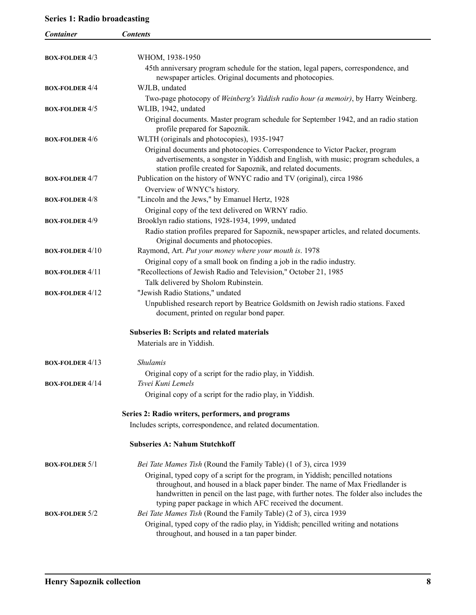## <span id="page-7-0"></span>**Series 1: Radio broadcasting**

| <b>Container</b>         | <b>Contents</b>                                                                                                                      |
|--------------------------|--------------------------------------------------------------------------------------------------------------------------------------|
|                          |                                                                                                                                      |
| <b>BOX-FOLDER 4/3</b>    | WHOM, 1938-1950                                                                                                                      |
|                          | 45th anniversary program schedule for the station, legal papers, correspondence, and                                                 |
| <b>BOX-FOLDER 4/4</b>    | newspaper articles. Original documents and photocopies.<br>WJLB, undated                                                             |
|                          |                                                                                                                                      |
| <b>BOX-FOLDER 4/5</b>    | Two-page photocopy of Weinberg's Yiddish radio hour (a memoir), by Harry Weinberg.<br>WLIB, 1942, undated                            |
|                          | Original documents. Master program schedule for September 1942, and an radio station                                                 |
|                          | profile prepared for Sapoznik.                                                                                                       |
| <b>BOX-FOLDER 4/6</b>    | WLTH (originals and photocopies), 1935-1947                                                                                          |
|                          | Original documents and photocopies. Correspondence to Victor Packer, program                                                         |
|                          | advertisements, a songster in Yiddish and English, with music; program schedules, a                                                  |
|                          | station profile created for Sapoznik, and related documents.                                                                         |
| <b>BOX-FOLDER 4/7</b>    | Publication on the history of WNYC radio and TV (original), circa 1986                                                               |
|                          | Overview of WNYC's history.                                                                                                          |
| <b>BOX-FOLDER 4/8</b>    | "Lincoln and the Jews," by Emanuel Hertz, 1928                                                                                       |
|                          | Original copy of the text delivered on WRNY radio.                                                                                   |
| <b>BOX-FOLDER 4/9</b>    | Brooklyn radio stations, 1928-1934, 1999, undated                                                                                    |
|                          | Radio station profiles prepared for Sapoznik, newspaper articles, and related documents.                                             |
|                          | Original documents and photocopies.                                                                                                  |
| <b>BOX-FOLDER 4/10</b>   | Raymond, Art. Put your money where your mouth is. 1978                                                                               |
|                          | Original copy of a small book on finding a job in the radio industry.                                                                |
| <b>BOX-FOLDER 4/11</b>   | "Recollections of Jewish Radio and Television," October 21, 1985                                                                     |
|                          | Talk delivered by Sholom Rubinstein.                                                                                                 |
| <b>BOX-FOLDER</b> $4/12$ | "Jewish Radio Stations," undated                                                                                                     |
|                          | Unpublished research report by Beatrice Goldsmith on Jewish radio stations. Faxed                                                    |
|                          | document, printed on regular bond paper.                                                                                             |
|                          | <b>Subseries B: Scripts and related materials</b>                                                                                    |
|                          | Materials are in Yiddish.                                                                                                            |
| <b>BOX-FOLDER 4/13</b>   | <i><b>Shulamis</b></i>                                                                                                               |
|                          | Original copy of a script for the radio play, in Yiddish.                                                                            |
| <b>BOX-FOLDER 4/14</b>   | Tsvei Kuni Lemels                                                                                                                    |
|                          | Original copy of a script for the radio play, in Yiddish.                                                                            |
|                          |                                                                                                                                      |
|                          | Series 2: Radio writers, performers, and programs                                                                                    |
|                          | Includes scripts, correspondence, and related documentation.                                                                         |
|                          | <b>Subseries A: Nahum Stutchkoff</b>                                                                                                 |
| <b>BOX-FOLDER 5/1</b>    | Bei Tate Mames Tish (Round the Family Table) (1 of 3), circa 1939                                                                    |
|                          | Original, typed copy of a script for the program, in Yiddish; pencilled notations                                                    |
|                          | throughout, and housed in a black paper binder. The name of Max Friedlander is                                                       |
|                          | handwritten in pencil on the last page, with further notes. The folder also includes the                                             |
|                          | typing paper package in which AFC received the document.                                                                             |
| <b>BOX-FOLDER 5/2</b>    | Bei Tate Mames Tish (Round the Family Table) (2 of 3), circa 1939                                                                    |
|                          | Original, typed copy of the radio play, in Yiddish; pencilled writing and notations<br>throughout, and housed in a tan paper binder. |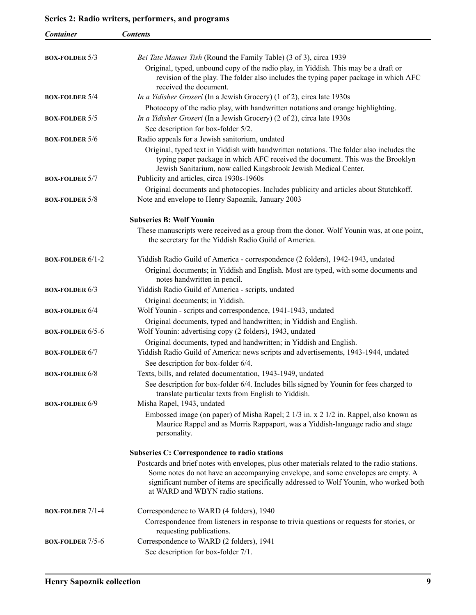<span id="page-8-0"></span>

| <b>Container</b>                     | <b>Contents</b>                                                                                                                                                                                                                               |
|--------------------------------------|-----------------------------------------------------------------------------------------------------------------------------------------------------------------------------------------------------------------------------------------------|
|                                      |                                                                                                                                                                                                                                               |
| <b>BOX-FOLDER 5/3</b>                | Bei Tate Mames Tish (Round the Family Table) (3 of 3), circa 1939                                                                                                                                                                             |
|                                      | Original, typed, unbound copy of the radio play, in Yiddish. This may be a draft or<br>revision of the play. The folder also includes the typing paper package in which AFC<br>received the document.                                         |
| <b>BOX-FOLDER 5/4</b>                | In a Yidisher Groseri (In a Jewish Grocery) (1 of 2), circa late 1930s                                                                                                                                                                        |
|                                      | Photocopy of the radio play, with handwritten notations and orange highlighting.                                                                                                                                                              |
| <b>BOX-FOLDER 5/5</b>                | In a Yidisher Groseri (In a Jewish Grocery) (2 of 2), circa late 1930s                                                                                                                                                                        |
|                                      | See description for box-folder 5/2.                                                                                                                                                                                                           |
| <b>BOX-FOLDER 5/6</b>                | Radio appeals for a Jewish sanitorium, undated                                                                                                                                                                                                |
|                                      | Original, typed text in Yiddish with handwritten notations. The folder also includes the<br>typing paper package in which AFC received the document. This was the Brooklyn<br>Jewish Sanitarium, now called Kingsbrook Jewish Medical Center. |
| <b>BOX-FOLDER 5/7</b>                | Publicity and articles, circa 1930s-1960s                                                                                                                                                                                                     |
|                                      | Original documents and photocopies. Includes publicity and articles about Stutchkoff.                                                                                                                                                         |
| <b>BOX-FOLDER <math>5/8</math></b>   | Note and envelope to Henry Sapoznik, January 2003                                                                                                                                                                                             |
|                                      | <b>Subseries B: Wolf Younin</b>                                                                                                                                                                                                               |
|                                      | These manuscripts were received as a group from the donor. Wolf Younin was, at one point,<br>the secretary for the Yiddish Radio Guild of America.                                                                                            |
| <b>BOX-FOLDER <math>6/1-2</math></b> | Yiddish Radio Guild of America - correspondence (2 folders), 1942-1943, undated                                                                                                                                                               |
|                                      | Original documents; in Yiddish and English. Most are typed, with some documents and<br>notes handwritten in pencil.                                                                                                                           |
| <b>BOX-FOLDER 6/3</b>                | Yiddish Radio Guild of America - scripts, undated                                                                                                                                                                                             |
|                                      | Original documents; in Yiddish.                                                                                                                                                                                                               |
| <b>BOX-FOLDER 6/4</b>                | Wolf Younin - scripts and correspondence, 1941-1943, undated                                                                                                                                                                                  |
| <b>BOX-FOLDER 6/5-6</b>              | Original documents, typed and handwritten; in Yiddish and English.<br>Wolf Younin: advertising copy (2 folders), 1943, undated                                                                                                                |
|                                      | Original documents, typed and handwritten; in Yiddish and English.                                                                                                                                                                            |
| <b>BOX-FOLDER 6/7</b>                | Yiddish Radio Guild of America: news scripts and advertisements, 1943-1944, undated                                                                                                                                                           |
|                                      | See description for box-folder 6/4.                                                                                                                                                                                                           |
| <b>BOX-FOLDER 6/8</b>                | Texts, bills, and related documentation, 1943-1949, undated                                                                                                                                                                                   |
|                                      | See description for box-folder 6/4. Includes bills signed by Younin for fees charged to<br>translate particular texts from English to Yiddish.                                                                                                |
| <b>BOX-FOLDER 6/9</b>                | Misha Rapel, 1943, undated                                                                                                                                                                                                                    |
|                                      | Embossed image (on paper) of Misha Rapel; 2 1/3 in. x 2 1/2 in. Rappel, also known as<br>Maurice Rappel and as Morris Rappaport, was a Yiddish-language radio and stage<br>personality.                                                       |
|                                      | <b>Subseries C: Correspondence to radio stations</b>                                                                                                                                                                                          |
|                                      | Postcards and brief notes with envelopes, plus other materials related to the radio stations.                                                                                                                                                 |
|                                      | Some notes do not have an accompanying envelope, and some envelopes are empty. A<br>significant number of items are specifically addressed to Wolf Younin, who worked both<br>at WARD and WBYN radio stations.                                |
| <b>BOX-FOLDER</b> $7/1-4$            | Correspondence to WARD (4 folders), 1940                                                                                                                                                                                                      |
|                                      | Correspondence from listeners in response to trivia questions or requests for stories, or<br>requesting publications.                                                                                                                         |
| <b>BOX-FOLDER 7/5-6</b>              | Correspondence to WARD (2 folders), 1941                                                                                                                                                                                                      |
|                                      | See description for box-folder 7/1.                                                                                                                                                                                                           |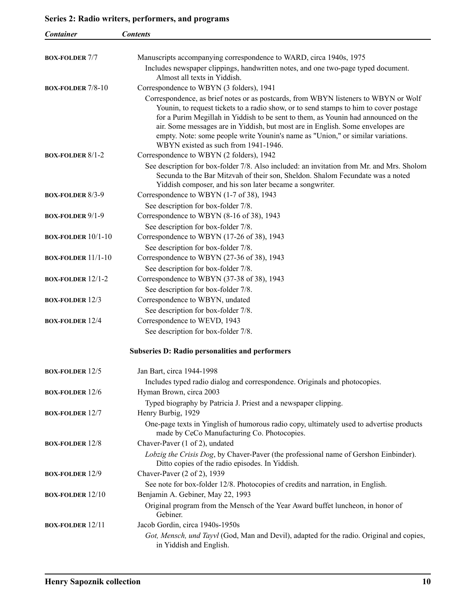<span id="page-9-0"></span>

| <b>Container</b>            | <b>Contents</b>                                                                                                                                                                                                                                                                                                                                                                          |
|-----------------------------|------------------------------------------------------------------------------------------------------------------------------------------------------------------------------------------------------------------------------------------------------------------------------------------------------------------------------------------------------------------------------------------|
|                             |                                                                                                                                                                                                                                                                                                                                                                                          |
| <b>BOX-FOLDER 7/7</b>       | Manuscripts accompanying correspondence to WARD, circa 1940s, 1975                                                                                                                                                                                                                                                                                                                       |
|                             | Includes newspaper clippings, handwritten notes, and one two-page typed document.                                                                                                                                                                                                                                                                                                        |
|                             | Almost all texts in Yiddish.<br>Correspondence to WBYN (3 folders), 1941                                                                                                                                                                                                                                                                                                                 |
| <b>BOX-FOLDER 7/8-10</b>    | Correspondence, as brief notes or as postcards, from WBYN listeners to WBYN or Wolf                                                                                                                                                                                                                                                                                                      |
|                             | Younin, to request tickets to a radio show, or to send stamps to him to cover postage<br>for a Purim Megillah in Yiddish to be sent to them, as Younin had announced on the<br>air. Some messages are in Yiddish, but most are in English. Some envelopes are<br>empty. Note: some people write Younin's name as "Union," or similar variations.<br>WBYN existed as such from 1941-1946. |
| <b>BOX-FOLDER 8/1-2</b>     | Correspondence to WBYN (2 folders), 1942                                                                                                                                                                                                                                                                                                                                                 |
|                             | See description for box-folder 7/8. Also included: an invitation from Mr. and Mrs. Sholom<br>Secunda to the Bar Mitzvah of their son, Sheldon. Shalom Fecundate was a noted<br>Yiddish composer, and his son later became a songwriter.                                                                                                                                                  |
| <b>BOX-FOLDER 8/3-9</b>     | Correspondence to WBYN (1-7 of 38), 1943                                                                                                                                                                                                                                                                                                                                                 |
|                             | See description for box-folder 7/8.                                                                                                                                                                                                                                                                                                                                                      |
| <b>BOX-FOLDER 9/1-9</b>     | Correspondence to WBYN (8-16 of 38), 1943                                                                                                                                                                                                                                                                                                                                                |
| <b>BOX-FOLDER</b> $10/1-10$ | See description for box-folder 7/8.<br>Correspondence to WBYN (17-26 of 38), 1943                                                                                                                                                                                                                                                                                                        |
|                             | See description for box-folder 7/8.                                                                                                                                                                                                                                                                                                                                                      |
| <b>BOX-FOLDER</b> $11/1-10$ | Correspondence to WBYN (27-36 of 38), 1943                                                                                                                                                                                                                                                                                                                                               |
|                             | See description for box-folder 7/8.                                                                                                                                                                                                                                                                                                                                                      |
| <b>BOX-FOLDER 12/1-2</b>    | Correspondence to WBYN (37-38 of 38), 1943                                                                                                                                                                                                                                                                                                                                               |
|                             | See description for box-folder 7/8.                                                                                                                                                                                                                                                                                                                                                      |
| <b>BOX-FOLDER 12/3</b>      | Correspondence to WBYN, undated                                                                                                                                                                                                                                                                                                                                                          |
|                             | See description for box-folder 7/8.                                                                                                                                                                                                                                                                                                                                                      |
| <b>BOX-FOLDER 12/4</b>      | Correspondence to WEVD, 1943                                                                                                                                                                                                                                                                                                                                                             |
|                             | See description for box-folder 7/8.                                                                                                                                                                                                                                                                                                                                                      |
|                             | <b>Subseries D: Radio personalities and performers</b>                                                                                                                                                                                                                                                                                                                                   |
| <b>BOX-FOLDER 12/5</b>      | Jan Bart, circa 1944-1998                                                                                                                                                                                                                                                                                                                                                                |
|                             | Includes typed radio dialog and correspondence. Originals and photocopies.                                                                                                                                                                                                                                                                                                               |
| <b>BOX-FOLDER 12/6</b>      | Hyman Brown, circa 2003                                                                                                                                                                                                                                                                                                                                                                  |
|                             | Typed biography by Patricia J. Priest and a newspaper clipping.                                                                                                                                                                                                                                                                                                                          |
| <b>BOX-FOLDER 12/7</b>      | Henry Burbig, 1929                                                                                                                                                                                                                                                                                                                                                                       |
|                             | One-page texts in Yinglish of humorous radio copy, ultimately used to advertise products<br>made by CeCo Manufacturing Co. Photocopies.                                                                                                                                                                                                                                                  |
| <b>BOX-FOLDER 12/8</b>      | Chaver-Paver (1 of 2), undated                                                                                                                                                                                                                                                                                                                                                           |
| <b>BOX-FOLDER 12/9</b>      | Lobzig the Crisis Dog, by Chaver-Paver (the professional name of Gershon Einbinder).<br>Ditto copies of the radio episodes. In Yiddish.<br>Chaver-Paver (2 of 2), 1939                                                                                                                                                                                                                   |
|                             | See note for box-folder 12/8. Photocopies of credits and narration, in English.                                                                                                                                                                                                                                                                                                          |
| <b>BOX-FOLDER 12/10</b>     | Benjamin A. Gebiner, May 22, 1993                                                                                                                                                                                                                                                                                                                                                        |
|                             | Original program from the Mensch of the Year Award buffet luncheon, in honor of<br>Gebiner.                                                                                                                                                                                                                                                                                              |
| <b>BOX-FOLDER 12/11</b>     | Jacob Gordin, circa 1940s-1950s                                                                                                                                                                                                                                                                                                                                                          |
|                             | Got, Mensch, und Tayvl (God, Man and Devil), adapted for the radio. Original and copies,<br>in Yiddish and English.                                                                                                                                                                                                                                                                      |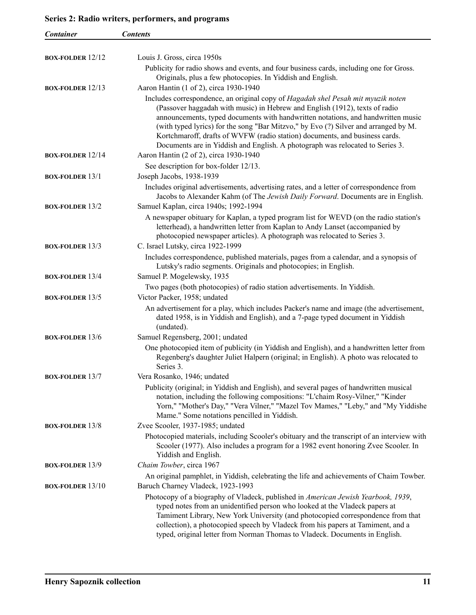| <b>Container</b>          | <b>Contents</b>                                                                                                                                                                                                                                                                                                                                                                                                                                                                                            |
|---------------------------|------------------------------------------------------------------------------------------------------------------------------------------------------------------------------------------------------------------------------------------------------------------------------------------------------------------------------------------------------------------------------------------------------------------------------------------------------------------------------------------------------------|
|                           |                                                                                                                                                                                                                                                                                                                                                                                                                                                                                                            |
| <b>BOX-FOLDER 12/12</b>   | Louis J. Gross, circa 1950s                                                                                                                                                                                                                                                                                                                                                                                                                                                                                |
|                           | Publicity for radio shows and events, and four business cards, including one for Gross.                                                                                                                                                                                                                                                                                                                                                                                                                    |
|                           | Originals, plus a few photocopies. In Yiddish and English.                                                                                                                                                                                                                                                                                                                                                                                                                                                 |
| <b>BOX-FOLDER</b> $12/13$ | Aaron Hantin (1 of 2), circa 1930-1940                                                                                                                                                                                                                                                                                                                                                                                                                                                                     |
|                           | Includes correspondence, an original copy of Hagadah shel Pesah mit myuzik noten<br>(Passover haggadah with music) in Hebrew and English (1912), texts of radio<br>announcements, typed documents with handwritten notations, and handwritten music<br>(with typed lyrics) for the song "Bar Mitzvo," by Evo (?) Silver and arranged by M.<br>Kortchmaroff, drafts of WVFW (radio station) documents, and business cards.<br>Documents are in Yiddish and English. A photograph was relocated to Series 3. |
| <b>BOX-FOLDER</b> $12/14$ | Aaron Hantin (2 of 2), circa 1930-1940                                                                                                                                                                                                                                                                                                                                                                                                                                                                     |
|                           | See description for box-folder 12/13.                                                                                                                                                                                                                                                                                                                                                                                                                                                                      |
| <b>BOX-FOLDER 13/1</b>    | Joseph Jacobs, 1938-1939<br>Includes original advertisements, advertising rates, and a letter of correspondence from                                                                                                                                                                                                                                                                                                                                                                                       |
|                           | Jacobs to Alexander Kahm (of The Jewish Daily Forward. Documents are in English.                                                                                                                                                                                                                                                                                                                                                                                                                           |
| <b>BOX-FOLDER 13/2</b>    | Samuel Kaplan, circa 1940s; 1992-1994                                                                                                                                                                                                                                                                                                                                                                                                                                                                      |
|                           | A newspaper obituary for Kaplan, a typed program list for WEVD (on the radio station's<br>letterhead), a handwritten letter from Kaplan to Andy Lanset (accompanied by<br>photocopied newspaper articles). A photograph was relocated to Series 3.                                                                                                                                                                                                                                                         |
| <b>BOX-FOLDER 13/3</b>    | C. Israel Lutsky, circa 1922-1999                                                                                                                                                                                                                                                                                                                                                                                                                                                                          |
|                           | Includes correspondence, published materials, pages from a calendar, and a synopsis of<br>Lutsky's radio segments. Originals and photocopies; in English.                                                                                                                                                                                                                                                                                                                                                  |
| <b>BOX-FOLDER 13/4</b>    | Samuel P. Mogelewsky, 1935                                                                                                                                                                                                                                                                                                                                                                                                                                                                                 |
|                           | Two pages (both photocopies) of radio station advertisements. In Yiddish.                                                                                                                                                                                                                                                                                                                                                                                                                                  |
| <b>BOX-FOLDER 13/5</b>    | Victor Packer, 1958; undated                                                                                                                                                                                                                                                                                                                                                                                                                                                                               |
|                           | An advertisement for a play, which includes Packer's name and image (the advertisement,<br>dated 1958, is in Yiddish and English), and a 7-page typed document in Yiddish<br>(undated).                                                                                                                                                                                                                                                                                                                    |
| <b>BOX-FOLDER 13/6</b>    | Samuel Regensberg, 2001; undated                                                                                                                                                                                                                                                                                                                                                                                                                                                                           |
|                           | One photocopied item of publicity (in Yiddish and English), and a handwritten letter from<br>Regenberg's daughter Juliet Halpern (original; in English). A photo was relocated to<br>Series 3.                                                                                                                                                                                                                                                                                                             |
| <b>BOX-FOLDER 13/7</b>    | Vera Rosanko, 1946; undated                                                                                                                                                                                                                                                                                                                                                                                                                                                                                |
|                           | Publicity (original; in Yiddish and English), and several pages of handwritten musical<br>notation, including the following compositions: "L'chaim Rosy-Vilner," "Kinder<br>Yorn," "Mother's Day," "Vera Vilner," "Mazel Tov Mames," "Leby," and "My Yiddishe<br>Mame." Some notations pencilled in Yiddish.                                                                                                                                                                                               |
| <b>BOX-FOLDER 13/8</b>    | Zvee Scooler, 1937-1985; undated                                                                                                                                                                                                                                                                                                                                                                                                                                                                           |
|                           | Photocopied materials, including Scooler's obituary and the transcript of an interview with<br>Scooler (1977). Also includes a program for a 1982 event honoring Zvee Scooler. In<br>Yiddish and English.                                                                                                                                                                                                                                                                                                  |
| <b>BOX-FOLDER 13/9</b>    | Chaim Towber, circa 1967                                                                                                                                                                                                                                                                                                                                                                                                                                                                                   |
|                           | An original pamphlet, in Yiddish, celebrating the life and achievements of Chaim Towber.                                                                                                                                                                                                                                                                                                                                                                                                                   |
| <b>BOX-FOLDER 13/10</b>   | Baruch Charney Vladeck, 1923-1993                                                                                                                                                                                                                                                                                                                                                                                                                                                                          |
|                           | Photocopy of a biography of Vladeck, published in American Jewish Yearbook, 1939,<br>typed notes from an unidentified person who looked at the Vladeck papers at<br>Tamiment Library, New York University (and photocopied correspondence from that<br>collection), a photocopied speech by Vladeck from his papers at Tamiment, and a<br>typed, original letter from Norman Thomas to Vladeck. Documents in English.                                                                                      |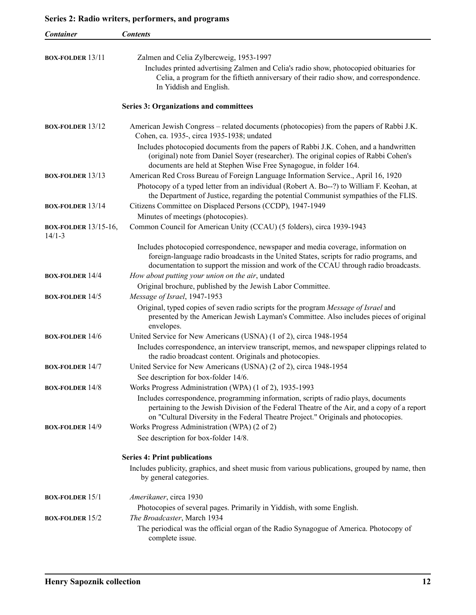<span id="page-11-0"></span>

| Container                               | <b>Contents</b>                                                                                                                                                                   |
|-----------------------------------------|-----------------------------------------------------------------------------------------------------------------------------------------------------------------------------------|
|                                         |                                                                                                                                                                                   |
| <b>BOX-FOLDER</b> $13/11$               | Zalmen and Celia Zylbercweig, 1953-1997                                                                                                                                           |
|                                         | Includes printed advertising Zalmen and Celia's radio show, photocopied obituaries for                                                                                            |
|                                         | Celia, a program for the fiftieth anniversary of their radio show, and correspondence.                                                                                            |
|                                         | In Yiddish and English.                                                                                                                                                           |
|                                         | <b>Series 3: Organizations and committees</b>                                                                                                                                     |
| <b>BOX-FOLDER 13/12</b>                 | American Jewish Congress – related documents (photocopies) from the papers of Rabbi J.K.                                                                                          |
|                                         | Cohen, ca. 1935-, circa 1935-1938; undated                                                                                                                                        |
|                                         | Includes photocopied documents from the papers of Rabbi J.K. Cohen, and a handwritten<br>(original) note from Daniel Soyer (researcher). The original copies of Rabbi Cohen's     |
|                                         | documents are held at Stephen Wise Free Synagogue, in folder 164.                                                                                                                 |
| <b>BOX-FOLDER</b> $13/13$               | American Red Cross Bureau of Foreign Language Information Service., April 16, 1920                                                                                                |
|                                         | Photocopy of a typed letter from an individual (Robert A. Bo--?) to William F. Keohan, at<br>the Department of Justice, regarding the potential Communist sympathies of the FLIS. |
| <b>BOX-FOLDER 13/14</b>                 | Citizens Committee on Displaced Persons (CCDP), 1947-1949                                                                                                                         |
|                                         | Minutes of meetings (photocopies).<br>Common Council for American Unity (CCAU) (5 folders), circa 1939-1943                                                                       |
| <b>BOX-FOLDER</b> 13/15-16,<br>$14/1-3$ |                                                                                                                                                                                   |
|                                         | Includes photocopied correspondence, newspaper and media coverage, information on                                                                                                 |
|                                         | foreign-language radio broadcasts in the United States, scripts for radio programs, and                                                                                           |
|                                         | documentation to support the mission and work of the CCAU through radio broadcasts.                                                                                               |
| <b>BOX-FOLDER 14/4</b>                  | How about putting your union on the air, undated                                                                                                                                  |
|                                         | Original brochure, published by the Jewish Labor Committee.                                                                                                                       |
| <b>BOX-FOLDER</b> $14/5$                | Message of Israel, 1947-1953                                                                                                                                                      |
|                                         | Original, typed copies of seven radio scripts for the program Message of Israel and                                                                                               |
|                                         | presented by the American Jewish Layman's Committee. Also includes pieces of original                                                                                             |
|                                         | envelopes.                                                                                                                                                                        |
| <b>BOX-FOLDER 14/6</b>                  | United Service for New Americans (USNA) (1 of 2), circa 1948-1954                                                                                                                 |
|                                         | Includes correspondence, an interview transcript, memos, and newspaper clippings related to<br>the radio broadcast content. Originals and photocopies.                            |
| <b>BOX-FOLDER 14/7</b>                  | United Service for New Americans (USNA) (2 of 2), circa 1948-1954                                                                                                                 |
|                                         | See description for box-folder 14/6.                                                                                                                                              |
| <b>BOX-FOLDER 14/8</b>                  | Works Progress Administration (WPA) (1 of 2), 1935-1993                                                                                                                           |
|                                         | Includes correspondence, programming information, scripts of radio plays, documents                                                                                               |
|                                         | pertaining to the Jewish Division of the Federal Theatre of the Air, and a copy of a report                                                                                       |
|                                         | on "Cultural Diversity in the Federal Theatre Project." Originals and photocopies.                                                                                                |
| <b>BOX-FOLDER 14/9</b>                  | Works Progress Administration (WPA) (2 of 2)                                                                                                                                      |
|                                         | See description for box-folder 14/8.                                                                                                                                              |
|                                         | <b>Series 4: Print publications</b>                                                                                                                                               |
|                                         | Includes publicity, graphics, and sheet music from various publications, grouped by name, then                                                                                    |
|                                         | by general categories.                                                                                                                                                            |
| <b>BOX-FOLDER 15/1</b>                  | Amerikaner, circa 1930                                                                                                                                                            |
|                                         | Photocopies of several pages. Primarily in Yiddish, with some English.                                                                                                            |
| <b>BOX-FOLDER 15/2</b>                  | The Broadcaster, March 1934                                                                                                                                                       |
|                                         | The periodical was the official organ of the Radio Synagogue of America. Photocopy of<br>complete issue.                                                                          |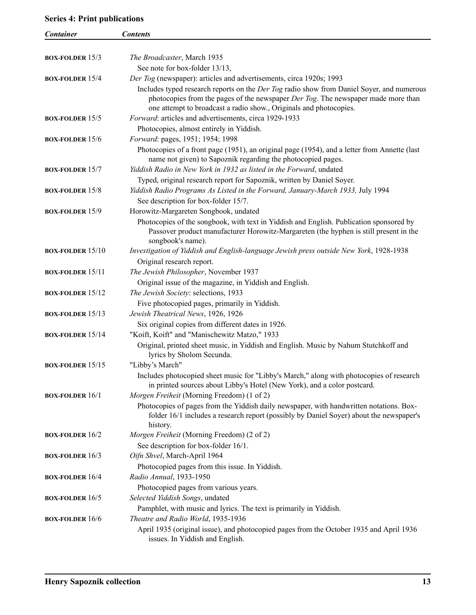## **Series 4: Print publications**

| <b>Container</b>          | <b>Contents</b>                                                                                                                                                                                                                                      |
|---------------------------|------------------------------------------------------------------------------------------------------------------------------------------------------------------------------------------------------------------------------------------------------|
|                           |                                                                                                                                                                                                                                                      |
| <b>BOX-FOLDER</b> $15/3$  | The Broadcaster, March 1935                                                                                                                                                                                                                          |
|                           | See note for box-folder 13/13,                                                                                                                                                                                                                       |
| <b>BOX-FOLDER 15/4</b>    | Der Tog (newspaper): articles and advertisements, circa 1920s; 1993                                                                                                                                                                                  |
|                           | Includes typed research reports on the Der Tog radio show from Daniel Soyer, and numerous<br>photocopies from the pages of the newspaper Der Tog. The newspaper made more than<br>one attempt to broadcast a radio show., Originals and photocopies. |
| <b>BOX-FOLDER</b> $15/5$  | Forward: articles and advertisements, circa 1929-1933                                                                                                                                                                                                |
|                           | Photocopies, almost entirely in Yiddish.                                                                                                                                                                                                             |
| <b>BOX-FOLDER</b> $15/6$  | Forward: pages, 1951; 1954; 1998                                                                                                                                                                                                                     |
|                           | Photocopies of a front page (1951), an original page (1954), and a letter from Annette (last<br>name not given) to Sapoznik regarding the photocopied pages.                                                                                         |
| <b>BOX-FOLDER 15/7</b>    | Yiddish Radio in New York in 1932 as listed in the Forward, undated                                                                                                                                                                                  |
|                           | Typed, original research report for Sapoznik, written by Daniel Soyer.                                                                                                                                                                               |
| <b>BOX-FOLDER 15/8</b>    | Yiddish Radio Programs As Listed in the Forward, January-March 1933, July 1994                                                                                                                                                                       |
|                           | See description for box-folder 15/7.                                                                                                                                                                                                                 |
| <b>BOX-FOLDER 15/9</b>    | Horowitz-Margareten Songbook, undated                                                                                                                                                                                                                |
|                           | Photocopies of the songbook, with text in Yiddish and English. Publication sponsored by<br>Passover product manufacturer Horowitz-Margareten (the hyphen is still present in the<br>songbook's name).                                                |
| <b>BOX-FOLDER</b> $15/10$ | Investigation of Yiddish and English-language Jewish press outside New York, 1928-1938                                                                                                                                                               |
|                           | Original research report.                                                                                                                                                                                                                            |
| <b>BOX-FOLDER</b> $15/11$ | The Jewish Philosopher, November 1937                                                                                                                                                                                                                |
|                           | Original issue of the magazine, in Yiddish and English.                                                                                                                                                                                              |
| <b>BOX-FOLDER</b> $15/12$ | The Jewish Society: selections, 1933                                                                                                                                                                                                                 |
|                           | Five photocopied pages, primarily in Yiddish.                                                                                                                                                                                                        |
| <b>BOX-FOLDER</b> $15/13$ | Jewish Theatrical News, 1926, 1926                                                                                                                                                                                                                   |
|                           | Six original copies from different dates in 1926.                                                                                                                                                                                                    |
| <b>BOX-FOLDER</b> $15/14$ | "Koift, Koift" and "Manischewitz Matzo," 1933                                                                                                                                                                                                        |
|                           | Original, printed sheet music, in Yiddish and English. Music by Nahum Stutchkoff and<br>lyrics by Sholom Secunda.                                                                                                                                    |
| <b>BOX-FOLDER</b> $15/15$ | "Libby's March"                                                                                                                                                                                                                                      |
|                           | Includes photocopied sheet music for "Libby's March," along with photocopies of research<br>in printed sources about Libby's Hotel (New York), and a color postcard.                                                                                 |
| <b>BOX-FOLDER 16/1</b>    | Morgen Freiheit (Morning Freedom) (1 of 2)<br>Photocopies of pages from the Yiddish daily newspaper, with handwritten notations. Box-                                                                                                                |
|                           | folder 16/1 includes a research report (possibly by Daniel Soyer) about the newspaper's<br>history.                                                                                                                                                  |
| <b>BOX-FOLDER 16/2</b>    | Morgen Freiheit (Morning Freedom) (2 of 2)                                                                                                                                                                                                           |
|                           | See description for box-folder 16/1.                                                                                                                                                                                                                 |
| <b>BOX-FOLDER</b> $16/3$  | Oifn Shvel, March-April 1964                                                                                                                                                                                                                         |
|                           | Photocopied pages from this issue. In Yiddish.                                                                                                                                                                                                       |
| <b>BOX-FOLDER 16/4</b>    | Radio Annual, 1933-1950                                                                                                                                                                                                                              |
|                           | Photocopied pages from various years.                                                                                                                                                                                                                |
| <b>BOX-FOLDER</b> $16/5$  | Selected Yiddish Songs, undated                                                                                                                                                                                                                      |
|                           | Pamphlet, with music and lyrics. The text is primarily in Yiddish.                                                                                                                                                                                   |
| <b>BOX-FOLDER 16/6</b>    | Theatre and Radio World, 1935-1936                                                                                                                                                                                                                   |
|                           | April 1935 (original issue), and photocopied pages from the October 1935 and April 1936<br>issues. In Yiddish and English.                                                                                                                           |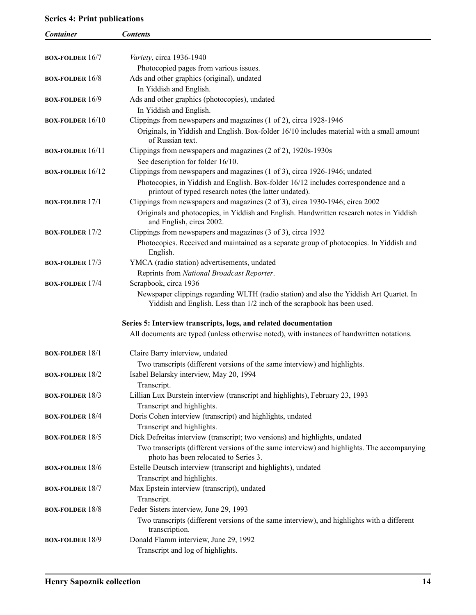## <span id="page-13-0"></span>**Series 4: Print publications**

| <b>Container</b>          | <b>Contents</b>                                                                                                                                                    |
|---------------------------|--------------------------------------------------------------------------------------------------------------------------------------------------------------------|
|                           |                                                                                                                                                                    |
| <b>BOX-FOLDER 16/7</b>    | Variety, circa 1936-1940                                                                                                                                           |
|                           | Photocopied pages from various issues.                                                                                                                             |
| <b>BOX-FOLDER 16/8</b>    | Ads and other graphics (original), undated                                                                                                                         |
|                           | In Yiddish and English.                                                                                                                                            |
| <b>BOX-FOLDER</b> $16/9$  | Ads and other graphics (photocopies), undated                                                                                                                      |
|                           | In Yiddish and English.                                                                                                                                            |
| <b>BOX-FOLDER</b> $16/10$ | Clippings from newspapers and magazines (1 of 2), circa 1928-1946                                                                                                  |
|                           | Originals, in Yiddish and English. Box-folder 16/10 includes material with a small amount                                                                          |
|                           | of Russian text.                                                                                                                                                   |
| <b>BOX-FOLDER</b> $16/11$ | Clippings from newspapers and magazines (2 of 2), 1920s-1930s                                                                                                      |
|                           | See description for folder 16/10.                                                                                                                                  |
| <b>BOX-FOLDER 16/12</b>   | Clippings from newspapers and magazines (1 of 3), circa 1926-1946; undated                                                                                         |
|                           | Photocopies, in Yiddish and English. Box-folder 16/12 includes correspondence and a                                                                                |
|                           | printout of typed research notes (the latter undated).                                                                                                             |
| <b>BOX-FOLDER 17/1</b>    | Clippings from newspapers and magazines (2 of 3), circa 1930-1946; circa 2002                                                                                      |
|                           | Originals and photocopies, in Yiddish and English. Handwritten research notes in Yiddish                                                                           |
|                           | and English, circa 2002.                                                                                                                                           |
| <b>BOX-FOLDER 17/2</b>    | Clippings from newspapers and magazines (3 of 3), circa 1932                                                                                                       |
|                           | Photocopies. Received and maintained as a separate group of photocopies. In Yiddish and                                                                            |
|                           | English.                                                                                                                                                           |
| <b>BOX-FOLDER 17/3</b>    | YMCA (radio station) advertisements, undated                                                                                                                       |
|                           | Reprints from National Broadcast Reporter.                                                                                                                         |
| <b>BOX-FOLDER 17/4</b>    | Scrapbook, circa 1936                                                                                                                                              |
|                           | Newspaper clippings regarding WLTH (radio station) and also the Yiddish Art Quartet. In<br>Yiddish and English. Less than 1/2 inch of the scrapbook has been used. |
|                           | Series 5: Interview transcripts, logs, and related documentation                                                                                                   |
|                           | All documents are typed (unless otherwise noted), with instances of handwritten notations.                                                                         |
|                           |                                                                                                                                                                    |
| <b>BOX-FOLDER 18/1</b>    | Claire Barry interview, undated                                                                                                                                    |
|                           | Two transcripts (different versions of the same interview) and highlights.                                                                                         |
| <b>BOX-FOLDER 18/2</b>    | Isabel Belarsky interview, May 20, 1994                                                                                                                            |
|                           | Transcript.                                                                                                                                                        |
| <b>BOX-FOLDER 18/3</b>    | Lillian Lux Burstein interview (transcript and highlights), February 23, 1993                                                                                      |
|                           | Transcript and highlights.                                                                                                                                         |
| <b>BOX-FOLDER 18/4</b>    | Doris Cohen interview (transcript) and highlights, undated                                                                                                         |
|                           | Transcript and highlights.                                                                                                                                         |
| <b>BOX-FOLDER 18/5</b>    | Dick Defreitas interview (transcript; two versions) and highlights, undated                                                                                        |
|                           | Two transcripts (different versions of the same interview) and highlights. The accompanying                                                                        |
|                           | photo has been relocated to Series 3.                                                                                                                              |
| <b>BOX-FOLDER 18/6</b>    | Estelle Deutsch interview (transcript and highlights), undated                                                                                                     |
|                           | Transcript and highlights.                                                                                                                                         |
| <b>BOX-FOLDER 18/7</b>    | Max Epstein interview (transcript), undated                                                                                                                        |
|                           | Transcript.                                                                                                                                                        |
| <b>BOX-FOLDER 18/8</b>    | Feder Sisters interview, June 29, 1993                                                                                                                             |
|                           | Two transcripts (different versions of the same interview), and highlights with a different                                                                        |
|                           | transcription.                                                                                                                                                     |
| <b>BOX-FOLDER 18/9</b>    | Donald Flamm interview, June 29, 1992                                                                                                                              |
|                           | Transcript and log of highlights.                                                                                                                                  |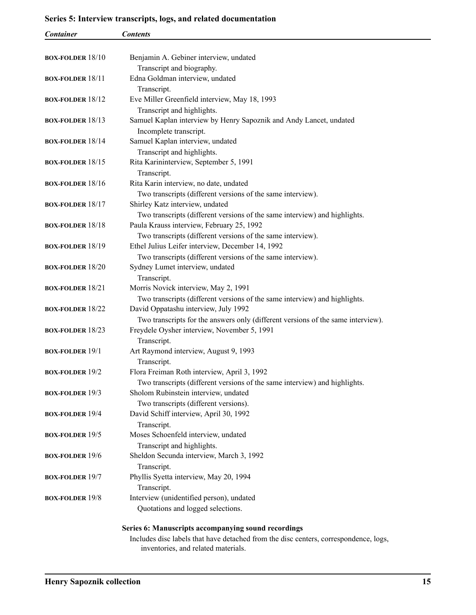## <span id="page-14-0"></span>**Series 5: Interview transcripts, logs, and related documentation**

| Container                 | <b>Contents</b>                                                                      |
|---------------------------|--------------------------------------------------------------------------------------|
|                           |                                                                                      |
| <b>BOX-FOLDER 18/10</b>   | Benjamin A. Gebiner interview, undated                                               |
|                           | Transcript and biography.                                                            |
| <b>BOX-FOLDER 18/11</b>   | Edna Goldman interview, undated                                                      |
|                           | Transcript.                                                                          |
| <b>BOX-FOLDER 18/12</b>   | Eve Miller Greenfield interview, May 18, 1993                                        |
|                           | Transcript and highlights.                                                           |
| <b>BOX-FOLDER</b> $18/13$ | Samuel Kaplan interview by Henry Sapoznik and Andy Lancet, undated                   |
| <b>BOX-FOLDER 18/14</b>   | Incomplete transcript.<br>Samuel Kaplan interview, undated                           |
|                           | Transcript and highlights.                                                           |
| <b>BOX-FOLDER</b> $18/15$ | Rita Karininterview, September 5, 1991                                               |
|                           | Transcript.                                                                          |
| <b>BOX-FOLDER</b> $18/16$ | Rita Karin interview, no date, undated                                               |
|                           | Two transcripts (different versions of the same interview).                          |
| <b>BOX-FOLDER 18/17</b>   | Shirley Katz interview, undated                                                      |
|                           | Two transcripts (different versions of the same interview) and highlights.           |
| <b>BOX-FOLDER 18/18</b>   | Paula Krauss interview, February 25, 1992                                            |
|                           | Two transcripts (different versions of the same interview).                          |
| <b>BOX-FOLDER 18/19</b>   | Ethel Julius Leifer interview, December 14, 1992                                     |
|                           | Two transcripts (different versions of the same interview).                          |
| <b>BOX-FOLDER 18/20</b>   | Sydney Lumet interview, undated                                                      |
|                           | Transcript.                                                                          |
| <b>BOX-FOLDER 18/21</b>   | Morris Novick interview, May 2, 1991                                                 |
|                           | Two transcripts (different versions of the same interview) and highlights.           |
| <b>BOX-FOLDER 18/22</b>   | David Oppatashu interview, July 1992                                                 |
|                           | Two transcripts for the answers only (different versions of the same interview).     |
| <b>BOX-FOLDER 18/23</b>   | Freydele Oysher interview, November 5, 1991                                          |
|                           | Transcript.                                                                          |
| <b>BOX-FOLDER</b> $19/1$  | Art Raymond interview, August 9, 1993                                                |
|                           | Transcript.                                                                          |
| <b>BOX-FOLDER 19/2</b>    | Flora Freiman Roth interview, April 3, 1992                                          |
|                           | Two transcripts (different versions of the same interview) and highlights.           |
| <b>BOX-FOLDER 19/3</b>    | Sholom Rubinstein interview, undated                                                 |
| <b>BOX-FOLDER 19/4</b>    | Two transcripts (different versions).                                                |
|                           | David Schiff interview, April 30, 1992                                               |
| <b>BOX-FOLDER 19/5</b>    | Transcript.<br>Moses Schoenfeld interview, undated                                   |
|                           | Transcript and highlights.                                                           |
| <b>BOX-FOLDER 19/6</b>    | Sheldon Secunda interview, March 3, 1992                                             |
|                           | Transcript.                                                                          |
| <b>BOX-FOLDER 19/7</b>    | Phyllis Syetta interview, May 20, 1994                                               |
|                           | Transcript.                                                                          |
| <b>BOX-FOLDER 19/8</b>    | Interview (unidentified person), undated                                             |
|                           | Quotations and logged selections.                                                    |
|                           |                                                                                      |
|                           | Series 6: Manuscripts accompanying sound recordings                                  |
|                           | Includes disc labels that have detached from the disc centers, correspondence, logs, |

inventories, and related materials.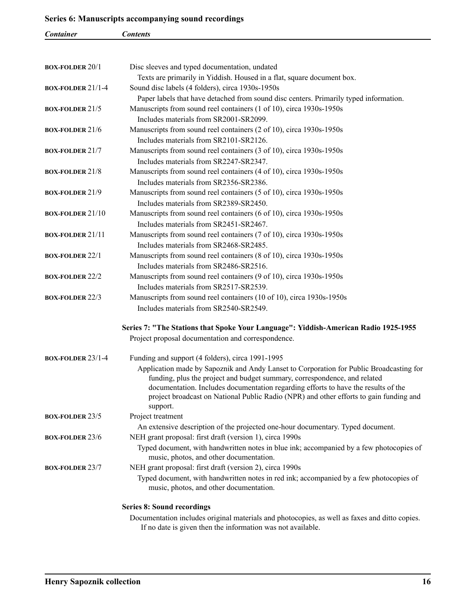### <span id="page-15-0"></span>**Series 6: Manuscripts accompanying sound recordings**

| Container               | <b>Contents</b>                                                                                                                    |
|-------------------------|------------------------------------------------------------------------------------------------------------------------------------|
|                         |                                                                                                                                    |
| <b>BOX-FOLDER 20/1</b>  | Disc sleeves and typed documentation, undated                                                                                      |
|                         | Texts are primarily in Yiddish. Housed in a flat, square document box.                                                             |
| BOX-FOLDER 21/1-4       | Sound disc labels (4 folders), circa 1930s-1950s                                                                                   |
|                         | Paper labels that have detached from sound disc centers. Primarily typed information.                                              |
| <b>BOX-FOLDER 21/5</b>  | Manuscripts from sound reel containers (1 of 10), circa 1930s-1950s                                                                |
|                         | Includes materials from SR2001-SR2099.                                                                                             |
| <b>BOX-FOLDER 21/6</b>  | Manuscripts from sound reel containers (2 of 10), circa 1930s-1950s                                                                |
|                         | Includes materials from SR2101-SR2126.                                                                                             |
| <b>BOX-FOLDER 21/7</b>  | Manuscripts from sound reel containers (3 of 10), circa 1930s-1950s                                                                |
|                         | Includes materials from SR2247-SR2347.                                                                                             |
| <b>BOX-FOLDER 21/8</b>  | Manuscripts from sound reel containers (4 of 10), circa 1930s-1950s                                                                |
|                         | Includes materials from SR2356-SR2386.                                                                                             |
| <b>BOX-FOLDER 21/9</b>  | Manuscripts from sound reel containers (5 of 10), circa 1930s-1950s                                                                |
|                         | Includes materials from SR2389-SR2450.                                                                                             |
| <b>BOX-FOLDER 21/10</b> | Manuscripts from sound reel containers (6 of 10), circa 1930s-1950s                                                                |
|                         | Includes materials from SR2451-SR2467.                                                                                             |
| <b>BOX-FOLDER 21/11</b> | Manuscripts from sound reel containers (7 of 10), circa 1930s-1950s                                                                |
|                         | Includes materials from SR2468-SR2485.                                                                                             |
| <b>BOX-FOLDER 22/1</b>  | Manuscripts from sound reel containers (8 of 10), circa 1930s-1950s                                                                |
|                         | Includes materials from SR2486-SR2516.                                                                                             |
| <b>BOX-FOLDER 22/2</b>  | Manuscripts from sound reel containers (9 of 10), circa 1930s-1950s                                                                |
|                         | Includes materials from SR2517-SR2539.                                                                                             |
| <b>BOX-FOLDER 22/3</b>  | Manuscripts from sound reel containers (10 of 10), circa 1930s-1950s                                                               |
|                         | Includes materials from SR2540-SR2549.                                                                                             |
|                         | Series 7: "The Stations that Spoke Your Language": Yiddish-American Radio 1925-1955                                                |
|                         | Project proposal documentation and correspondence.                                                                                 |
| BOX-FOLDER 23/1-4       | Funding and support (4 folders), circa 1991-1995                                                                                   |
|                         | Application made by Sapoznik and Andy Lanset to Corporation for Public Broadcasting for                                            |
|                         | funding, plus the project and budget summary, correspondence, and related                                                          |
|                         | documentation. Includes documentation regarding efforts to have the results of the                                                 |
|                         | project broadcast on National Public Radio (NPR) and other efforts to gain funding and                                             |
|                         | support.                                                                                                                           |
| <b>BOX-FOLDER 23/5</b>  | Project treatment                                                                                                                  |
|                         | An extensive description of the projected one-hour documentary. Typed document.                                                    |
| <b>BOX-FOLDER 23/6</b>  | NEH grant proposal: first draft (version 1), circa 1990s                                                                           |
|                         | Typed document, with handwritten notes in blue ink; accompanied by a few photocopies of<br>music, photos, and other documentation. |
| <b>BOX-FOLDER 23/7</b>  | NEH grant proposal: first draft (version 2), circa 1990s                                                                           |
|                         | Typed document, with handwritten notes in red ink; accompanied by a few photocopies of                                             |
|                         | music, photos, and other documentation.                                                                                            |
|                         |                                                                                                                                    |
|                         | <b>Series 8: Sound recordings</b><br>Documentation includes original materials and photoconies, as well as faves and ditto conies  |

Documentation includes original materials and photocopies, as well as faxes and ditto copies. If no date is given then the information was not available.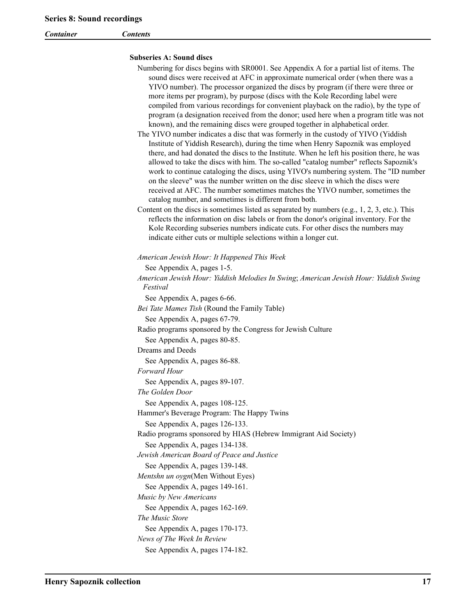<span id="page-16-0"></span>*Container Contents*

### **Subseries A: Sound discs**

| Numbering for discs begins with SR0001. See Appendix A for a partial list of items. The<br>sound discs were received at AFC in approximate numerical order (when there was a<br>YIVO number). The processor organized the discs by program (if there were three or<br>more items per program), by purpose (discs with the Kole Recording label were<br>compiled from various recordings for convenient playback on the radio), by the type of<br>program (a designation received from the donor; used here when a program title was not<br>known), and the remaining discs were grouped together in alphabetical order.<br>The YIVO number indicates a disc that was formerly in the custody of YIVO (Yiddish<br>Institute of Yiddish Research), during the time when Henry Sapoznik was employed<br>there, and had donated the discs to the Institute. When he left his position there, he was |
|-------------------------------------------------------------------------------------------------------------------------------------------------------------------------------------------------------------------------------------------------------------------------------------------------------------------------------------------------------------------------------------------------------------------------------------------------------------------------------------------------------------------------------------------------------------------------------------------------------------------------------------------------------------------------------------------------------------------------------------------------------------------------------------------------------------------------------------------------------------------------------------------------|
| allowed to take the discs with him. The so-called "catalog number" reflects Sapoznik's<br>work to continue cataloging the discs, using YIVO's numbering system. The "ID number<br>on the sleeve" was the number written on the disc sleeve in which the discs were<br>received at AFC. The number sometimes matches the YIVO number, sometimes the<br>catalog number, and sometimes is different from both.                                                                                                                                                                                                                                                                                                                                                                                                                                                                                     |
| Content on the discs is sometimes listed as separated by numbers (e.g., 1, 2, 3, etc.). This<br>reflects the information on disc labels or from the donor's original inventory. For the<br>Kole Recording subseries numbers indicate cuts. For other discs the numbers may<br>indicate either cuts or multiple selections within a longer cut.                                                                                                                                                                                                                                                                                                                                                                                                                                                                                                                                                  |
| American Jewish Hour: It Happened This Week                                                                                                                                                                                                                                                                                                                                                                                                                                                                                                                                                                                                                                                                                                                                                                                                                                                     |
| See Appendix A, pages 1-5.                                                                                                                                                                                                                                                                                                                                                                                                                                                                                                                                                                                                                                                                                                                                                                                                                                                                      |
| American Jewish Hour: Yiddish Melodies In Swing; American Jewish Hour: Yiddish Swing<br>Festival                                                                                                                                                                                                                                                                                                                                                                                                                                                                                                                                                                                                                                                                                                                                                                                                |
| See Appendix A, pages 6-66.<br>Bei Tate Mames Tish (Round the Family Table)                                                                                                                                                                                                                                                                                                                                                                                                                                                                                                                                                                                                                                                                                                                                                                                                                     |
| See Appendix A, pages 67-79.                                                                                                                                                                                                                                                                                                                                                                                                                                                                                                                                                                                                                                                                                                                                                                                                                                                                    |
| Radio programs sponsored by the Congress for Jewish Culture                                                                                                                                                                                                                                                                                                                                                                                                                                                                                                                                                                                                                                                                                                                                                                                                                                     |
| See Appendix A, pages 80-85.<br>Dreams and Deeds                                                                                                                                                                                                                                                                                                                                                                                                                                                                                                                                                                                                                                                                                                                                                                                                                                                |
| See Appendix A, pages 86-88.                                                                                                                                                                                                                                                                                                                                                                                                                                                                                                                                                                                                                                                                                                                                                                                                                                                                    |
| Forward Hour                                                                                                                                                                                                                                                                                                                                                                                                                                                                                                                                                                                                                                                                                                                                                                                                                                                                                    |
| See Appendix A, pages 89-107.                                                                                                                                                                                                                                                                                                                                                                                                                                                                                                                                                                                                                                                                                                                                                                                                                                                                   |
| The Golden Door                                                                                                                                                                                                                                                                                                                                                                                                                                                                                                                                                                                                                                                                                                                                                                                                                                                                                 |
| See Appendix A, pages 108-125.                                                                                                                                                                                                                                                                                                                                                                                                                                                                                                                                                                                                                                                                                                                                                                                                                                                                  |
| Hammer's Beverage Program: The Happy Twins                                                                                                                                                                                                                                                                                                                                                                                                                                                                                                                                                                                                                                                                                                                                                                                                                                                      |
| See Appendix A, pages 126-133.                                                                                                                                                                                                                                                                                                                                                                                                                                                                                                                                                                                                                                                                                                                                                                                                                                                                  |
| Radio programs sponsored by HIAS (Hebrew Immigrant Aid Society)<br>See Appendix A, pages 134-138.                                                                                                                                                                                                                                                                                                                                                                                                                                                                                                                                                                                                                                                                                                                                                                                               |
| Jewish American Board of Peace and Justice                                                                                                                                                                                                                                                                                                                                                                                                                                                                                                                                                                                                                                                                                                                                                                                                                                                      |
| See Appendix A, pages 139-148.                                                                                                                                                                                                                                                                                                                                                                                                                                                                                                                                                                                                                                                                                                                                                                                                                                                                  |
| Mentshn un oygn(Men Without Eyes)                                                                                                                                                                                                                                                                                                                                                                                                                                                                                                                                                                                                                                                                                                                                                                                                                                                               |
| See Appendix A, pages 149-161.                                                                                                                                                                                                                                                                                                                                                                                                                                                                                                                                                                                                                                                                                                                                                                                                                                                                  |
| Music by New Americans                                                                                                                                                                                                                                                                                                                                                                                                                                                                                                                                                                                                                                                                                                                                                                                                                                                                          |
| See Appendix A, pages 162-169.                                                                                                                                                                                                                                                                                                                                                                                                                                                                                                                                                                                                                                                                                                                                                                                                                                                                  |
| The Music Store                                                                                                                                                                                                                                                                                                                                                                                                                                                                                                                                                                                                                                                                                                                                                                                                                                                                                 |
| See Appendix A, pages 170-173.                                                                                                                                                                                                                                                                                                                                                                                                                                                                                                                                                                                                                                                                                                                                                                                                                                                                  |
| News of The Week In Review                                                                                                                                                                                                                                                                                                                                                                                                                                                                                                                                                                                                                                                                                                                                                                                                                                                                      |
| See Appendix A, pages 174-182.                                                                                                                                                                                                                                                                                                                                                                                                                                                                                                                                                                                                                                                                                                                                                                                                                                                                  |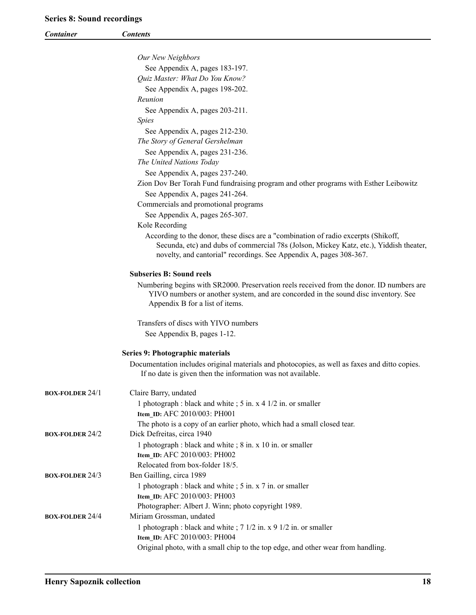<span id="page-17-0"></span>

| <b>Container</b>       | <b>Contents</b>                                                                                                       |
|------------------------|-----------------------------------------------------------------------------------------------------------------------|
|                        |                                                                                                                       |
|                        | Our New Neighbors                                                                                                     |
|                        | See Appendix A, pages 183-197.                                                                                        |
|                        | Quiz Master: What Do You Know?                                                                                        |
|                        | See Appendix A, pages 198-202.                                                                                        |
|                        | Reunion                                                                                                               |
|                        | See Appendix A, pages 203-211.                                                                                        |
|                        | <i>Spies</i>                                                                                                          |
|                        | See Appendix A, pages 212-230.                                                                                        |
|                        | The Story of General Gershelman                                                                                       |
|                        | See Appendix A, pages 231-236.                                                                                        |
|                        | The United Nations Today                                                                                              |
|                        | See Appendix A, pages 237-240.                                                                                        |
|                        | Zion Dov Ber Torah Fund fundraising program and other programs with Esther Leibowitz                                  |
|                        | See Appendix A, pages 241-264.                                                                                        |
|                        | Commercials and promotional programs                                                                                  |
|                        | See Appendix A, pages 265-307.<br>Kole Recording                                                                      |
|                        | According to the donor, these discs are a "combination of radio excerpts (Shikoff,                                    |
|                        | Secunda, etc) and dubs of commercial 78s (Jolson, Mickey Katz, etc.), Yiddish theater,                                |
|                        | novelty, and cantorial" recordings. See Appendix A, pages 308-367.                                                    |
|                        |                                                                                                                       |
|                        | <b>Subseries B: Sound reels</b>                                                                                       |
|                        | Numbering begins with SR2000. Preservation reels received from the donor. ID numbers are                              |
|                        | YIVO numbers or another system, and are concorded in the sound disc inventory. See<br>Appendix B for a list of items. |
|                        |                                                                                                                       |
|                        | Transfers of discs with YIVO numbers                                                                                  |
|                        | See Appendix B, pages 1-12.                                                                                           |
|                        |                                                                                                                       |
|                        | Series 9: Photographic materials                                                                                      |
|                        | Documentation includes original materials and photocopies, as well as faxes and ditto copies.                         |
|                        | If no date is given then the information was not available.                                                           |
| <b>BOX-FOLDER 24/1</b> | Claire Barry, undated                                                                                                 |
|                        | 1 photograph : black and white ; 5 in. x 4 1/2 in. or smaller                                                         |
|                        | Item_ID: AFC 2010/003: PH001                                                                                          |
|                        | The photo is a copy of an earlier photo, which had a small closed tear.                                               |
| <b>BOX-FOLDER 24/2</b> | Dick Defreitas, circa 1940                                                                                            |
|                        | 1 photograph : black and white ; 8 in. x 10 in. or smaller                                                            |
|                        | Item_ID: AFC 2010/003: PH002                                                                                          |
|                        | Relocated from box-folder 18/5.                                                                                       |
| <b>BOX-FOLDER 24/3</b> | Ben Gailling, circa 1989                                                                                              |
|                        | 1 photograph : black and white ; 5 in. x 7 in. or smaller                                                             |
|                        | Item_ID: AFC 2010/003: PH003                                                                                          |
|                        | Photographer: Albert J. Winn; photo copyright 1989.                                                                   |
| <b>BOX-FOLDER 24/4</b> | Miriam Grossman, undated                                                                                              |
|                        | 1 photograph : black and white ; 7 1/2 in. x 9 1/2 in. or smaller                                                     |
|                        | Item_ID: AFC 2010/003: PH004<br>Original photo, with a small chip to the top edge, and other wear from handling.      |
|                        |                                                                                                                       |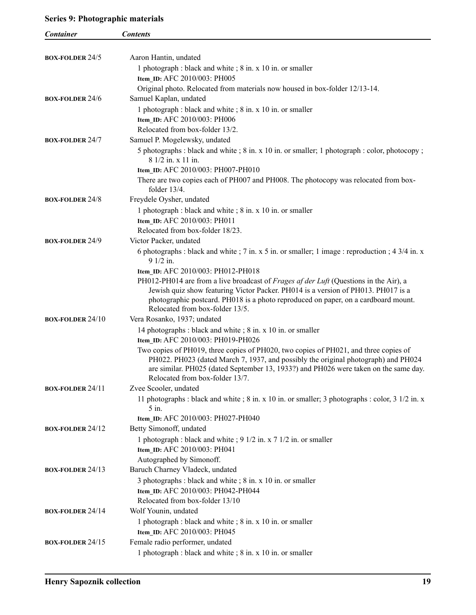## **Series 9: Photographic materials**

| <b>Container</b>        | <b>Contents</b>                                                                                                                                                                                                                                                                                       |
|-------------------------|-------------------------------------------------------------------------------------------------------------------------------------------------------------------------------------------------------------------------------------------------------------------------------------------------------|
|                         |                                                                                                                                                                                                                                                                                                       |
| <b>BOX-FOLDER 24/5</b>  | Aaron Hantin, undated                                                                                                                                                                                                                                                                                 |
|                         | 1 photograph : black and white ; 8 in. x 10 in. or smaller                                                                                                                                                                                                                                            |
|                         | Item_ID: AFC 2010/003: PH005                                                                                                                                                                                                                                                                          |
|                         | Original photo. Relocated from materials now housed in box-folder 12/13-14.                                                                                                                                                                                                                           |
| <b>BOX-FOLDER 24/6</b>  | Samuel Kaplan, undated                                                                                                                                                                                                                                                                                |
|                         | 1 photograph : black and white ; 8 in. x 10 in. or smaller                                                                                                                                                                                                                                            |
|                         | Item_ID: AFC 2010/003: PH006                                                                                                                                                                                                                                                                          |
|                         | Relocated from box-folder 13/2.                                                                                                                                                                                                                                                                       |
| <b>BOX-FOLDER 24/7</b>  | Samuel P. Mogelewsky, undated                                                                                                                                                                                                                                                                         |
|                         | 5 photographs : black and white ; 8 in. x 10 in. or smaller; 1 photograph : color, photocopy ;<br>8 1/2 in. x 11 in.                                                                                                                                                                                  |
|                         | Item_ID: AFC 2010/003: PH007-PH010                                                                                                                                                                                                                                                                    |
|                         | There are two copies each of PH007 and PH008. The photocopy was relocated from box-<br>folder $13/4$ .                                                                                                                                                                                                |
| <b>BOX-FOLDER 24/8</b>  | Freydele Oysher, undated                                                                                                                                                                                                                                                                              |
|                         | 1 photograph : black and white ; 8 in. x 10 in. or smaller                                                                                                                                                                                                                                            |
|                         | Item ID: AFC 2010/003: PH011                                                                                                                                                                                                                                                                          |
|                         | Relocated from box-folder 18/23.                                                                                                                                                                                                                                                                      |
| <b>BOX-FOLDER 24/9</b>  | Victor Packer, undated                                                                                                                                                                                                                                                                                |
|                         | 6 photographs : black and white ; 7 in. x 5 in. or smaller; 1 image : reproduction ; 4 3/4 in. x<br>9 1/2 in.                                                                                                                                                                                         |
|                         | Item_ID: AFC 2010/003: PH012-PH018                                                                                                                                                                                                                                                                    |
|                         | PH012-PH014 are from a live broadcast of Frages af der Luft (Questions in the Air), a<br>Jewish quiz show featuring Victor Packer. PH014 is a version of PH013. PH017 is a<br>photographic postcard. PH018 is a photo reproduced on paper, on a cardboard mount.<br>Relocated from box-folder 13/5.   |
| <b>BOX-FOLDER 24/10</b> | Vera Rosanko, 1937; undated                                                                                                                                                                                                                                                                           |
|                         | 14 photographs : black and white ; 8 in. x 10 in. or smaller                                                                                                                                                                                                                                          |
|                         | Item ID: AFC 2010/003: PH019-PH026                                                                                                                                                                                                                                                                    |
|                         | Two copies of PH019, three copies of PH020, two copies of PH021, and three copies of<br>PH022. PH023 (dated March 7, 1937, and possibly the original photograph) and PH024<br>are similar. PH025 (dated September 13, 1933?) and PH026 were taken on the same day.<br>Relocated from box-folder 13/7. |
| <b>BOX-FOLDER 24/11</b> | Zvee Scooler, undated                                                                                                                                                                                                                                                                                 |
|                         | 11 photographs : black and white ; $8$ in. x 10 in. or smaller; 3 photographs : color, $3 \frac{1}{2}$ in. x<br>5 in.                                                                                                                                                                                 |
|                         | Item_ID: AFC 2010/003: PH027-PH040                                                                                                                                                                                                                                                                    |
| <b>BOX-FOLDER 24/12</b> | Betty Simonoff, undated                                                                                                                                                                                                                                                                               |
|                         | 1 photograph : black and white ; 9 1/2 in. x 7 1/2 in. or smaller<br>Item_ID: AFC 2010/003: PH041                                                                                                                                                                                                     |
|                         | Autographed by Simonoff.                                                                                                                                                                                                                                                                              |
| <b>BOX-FOLDER 24/13</b> | Baruch Charney Vladeck, undated                                                                                                                                                                                                                                                                       |
|                         | 3 photographs : black and white ; 8 in. x 10 in. or smaller<br>Item_ID: AFC 2010/003: PH042-PH044                                                                                                                                                                                                     |
|                         | Relocated from box-folder 13/10                                                                                                                                                                                                                                                                       |
| <b>BOX-FOLDER 24/14</b> | Wolf Younin, undated                                                                                                                                                                                                                                                                                  |
|                         | 1 photograph : black and white ; 8 in. x 10 in. or smaller<br>Item_ID: AFC 2010/003: PH045                                                                                                                                                                                                            |
| <b>BOX-FOLDER 24/15</b> | Female radio performer, undated                                                                                                                                                                                                                                                                       |
|                         | 1 photograph : black and white ; 8 in. x 10 in. or smaller                                                                                                                                                                                                                                            |